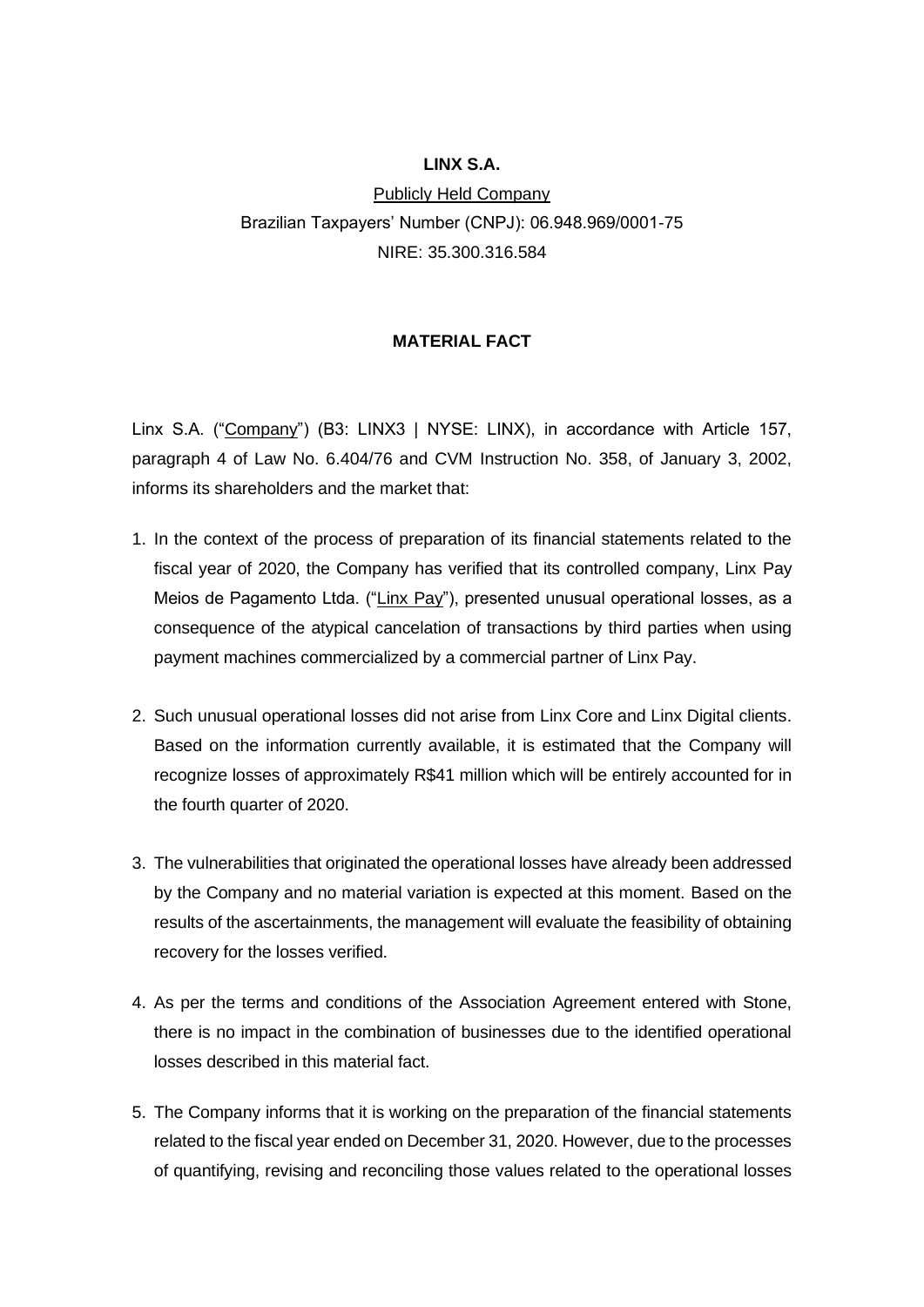## **LINX S.A.**

Publicly Held Company Brazilian Taxpayers' Number (CNPJ): 06.948.969/0001-75 NIRE: 35.300.316.584

## **MATERIAL FACT**

Linx S.A. ("Company") (B3: LINX3 | NYSE: LINX), in accordance with Article 157, paragraph 4 of Law No. 6.404/76 and CVM Instruction No. 358, of January 3, 2002, informs its shareholders and the market that:

- 1. In the context of the process of preparation of its financial statements related to the fiscal year of 2020, the Company has verified that its controlled company, Linx Pay Meios de Pagamento Ltda. ("Linx Pay"), presented unusual operational losses, as a consequence of the atypical cancelation of transactions by third parties when using payment machines commercialized by a commercial partner of Linx Pay.
- 2. Such unusual operational losses did not arise from Linx Core and Linx Digital clients. Based on the information currently available, it is estimated that the Company will recognize losses of approximately R\$41 million which will be entirely accounted for in the fourth quarter of 2020.
- 3. The vulnerabilities that originated the operational losses have already been addressed by the Company and no material variation is expected at this moment. Based on the results of the ascertainments, the management will evaluate the feasibility of obtaining recovery for the losses verified.
- 4. As per the terms and conditions of the Association Agreement entered with Stone, there is no impact in the combination of businesses due to the identified operational losses described in this material fact.
- 5. The Company informs that it is working on the preparation of the financial statements related to the fiscal year ended on December 31, 2020. However, due to the processes of quantifying, revising and reconciling those values related to the operational losses